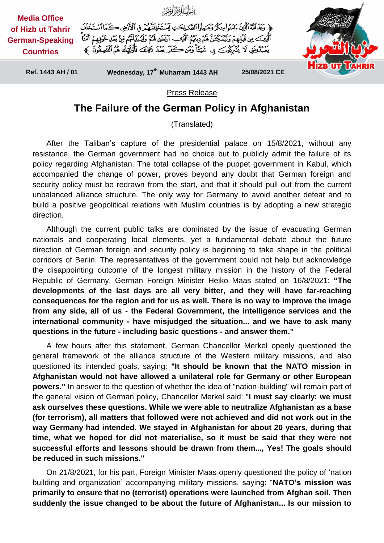

## Press Release

## **The Failure of the German Policy in Afghanistan**

(Translated)

After the Taliban's capture of the presidential palace on 15/8/2021, without any resistance, the German government had no choice but to publicly admit the failure of its policy regarding Afghanistan. The total collapse of the puppet government in Kabul, which accompanied the change of power, proves beyond any doubt that German foreign and security policy must be redrawn from the start, and that it should pull out from the current unbalanced alliance structure. The only way for Germany to avoid another defeat and to build a positive geopolitical relations with Muslim countries is by adopting a new strategic direction.

Although the current public talks are dominated by the issue of evacuating German nationals and cooperating local elements, yet a fundamental debate about the future direction of German foreign and security policy is beginning to take shape in the political corridors of Berlin. The representatives of the government could not help but acknowledge the disappointing outcome of the longest military mission in the history of the Federal Republic of Germany. German Foreign Minister Heiko Maas stated on 16/8/2021: **"The developments of the last days are all very bitter, and they will have far-reaching consequences for the region and for us as well. There is no way to improve the image from any side, all of us - the Federal Government, the intelligence services and the international community - have misjudged the situation... and we have to ask many questions in the future - including basic questions - and answer them."**

A few hours after this statement, German Chancellor Merkel openly questioned the general framework of the alliance structure of the Western military missions, and also questioned its intended goals, saying: **"It should be known that the NATO mission in Afghanistan would not have allowed a unilateral role for Germany or other European powers."** In answer to the question of whether the idea of "nation-building" will remain part of the general vision of German policy, Chancellor Merkel said: "**I must say clearly: we must ask ourselves these questions. While we were able to neutralize Afghanistan as a base (for terrorism), all matters that followed were not achieved and did not work out in the way Germany had intended. We stayed in Afghanistan for about 20 years, during that time, what we hoped for did not materialise, so it must be said that they were not successful efforts and lessons should be drawn from them..., Yes! The goals should be reduced in such missions."**

On 21/8/2021, for his part, Foreign Minister Maas openly questioned the policy of 'nation building and organization' accompanying military missions, saying: "**NATO's mission was primarily to ensure that no (terrorist) operations were launched from Afghan soil. Then suddenly the issue changed to be about the future of Afghanistan... Is our mission to**